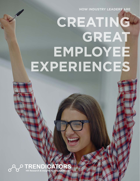**HOW INDUSTRY LEADERS ARE**

## **CREATING GREAT EMPLOYEE EXPERIENCES**

O TRENDICATORS Protocol Contractor Contractor Contractor Contractor HR Research & Insights by Engage2Excel™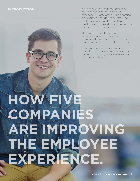#### **INTRODUCTION**

You are hearing a lot these days about the importance of "the employee experience." Some of the buzz is coming from service providers who offer new tools for generating feedback from employees, fitness and wellness programs and other self-service initiatives.

However, the employee experience is not just about a list of perks or programs. It's an approach to deliver a positive experience to all employees.

This report presents five examples of how HR practitioners are enabling more meaningful employee experiences, from pre-hire to retirement.

# **HOW FIVE COMPANIES ARE IMPROVING THE EMPLOYEE EXPERIENCE.**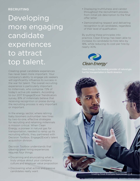#### **RECRUITING**

### Developing more engaging candidate experiences to attract top talent.

Creating great candidate experiences has never been more important. Your company's ability to engage job seekers will significantly influence its success in the war for talent. The overall recruiting experience is particularly important to millennials, who comprise 72% of today's active job seekers. According to our 2017 Engage2Excel Trendicators survey, 81% of millennials believe that receiving recognition or praise during the recruiting process is very important or important.

In the energy sector, where retiring baby boomers outnumber new hires by two-to-one, effective strategies for recruiting and retaining millennials is mission critical. When Clean Energy, a pioneer in natural gas for transportation, needed to ramp up its recruiting efforts, they partnered with Decision Toolbox, Engage2Excel's talent acquisition division.

Decision Toolbox understands that creating great hiring experiences requires four things:

- Discerning and enunciating what is truly unique about your company culture and employer value proposition
- Discovering what active and passive candidates really want
- Displaying truthfulness and candor throughout the recruitment process, from initial job description to the final offer letter
- Demonstrating respect and delivering recognition to all candidates, regardless of their level of qualification.

By putting these principles into practice, Clean Energy has been able to increase its candidate-to-hire ratio by 18%, while reducing its cost per hire by nearly 40%.



Clean Energy is the leading provider of natural gas

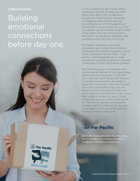#### **ONBOARDING**

### Building emotional connections before day one.

In this competitive job market where candidates are still considering other offers even after offer acceptance, companies must face the challenges of engaging talent before day one. According to our 2017 Engage2Excel Trendicators survey, nearly six out of 10 job seekers would consider another offer if they didn't receive communication from their new employer between offer acceptance and day one on the job.

Par Pacific, a leading oil and gas exploration and production company, recognizes the negative business impact when candidates decline offers. They partner with Engage2Excel to make recognition and appreciation an essential component of their pre-boarding phase.

Par Pacific's goal is to strengthen that emotional connection to the organization before the new hire starts. To do that, each new Par Pacific employee receives a branded welcome box designed to spark that connection. Delivered to each new hire's home before day one, the boxes contain a reusable tumbler and lunch bag with the Par Pacific logo, along with a welcome card. As best-in-class companies are now understanding that an effective recognition and rewards strategy needs to start before day one while spanning the entire lifecycle, Par Pacific is ahead of the curve.



Par Pacific, headquartered in Houston, Texas, owns, manages and maintains interests in energy and infrastructure businesses.

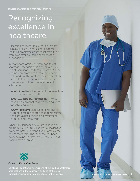### **EMPLOYEE RECOGNITION**

## Recognizing excellence in healthcare.

According to research by Dr. Jack Wiley, Engage2Excel's Chief Scientific Officer, the thing employees want most from their employer, after equitable compensation, is recognition.

In healthcare, amidst widespread talent shortages, recognition is playing a critical role at Carolinas Healthcare System. As the leading non-profit healthcare provider in North and South Carolina, they successfully use the following recognition programs to improve quality of care and patient satisfaction:

- **Values in Action:** A program for nominating peers for outstanding efforts
- **Infectious Disease Prevention:** A teambased program that rewards nursing units for achieving goals
- **WOW Program:** Enables patients and visitors to recognize staff that demonstrate the core values of Caring, Commitment, Integrity and Teamwork

When CHS launched its eCard recognition program in June 2016, leadership challenged every teammate to "send five eCards by the end of the week." The response has been overwhelming. To date, more than 220,000 eCards have been sent.



#### Carolinas HealthCare System

Carolinas HealthCare System is one of the leading healthcare organizations in the Southeast and one of the most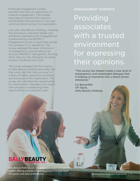Employee engagement surveys provide more than an opportunity to measure engagement. They enable associates to express their opinions and facilitate improvements in two-way communications across the organization.

Last year, Sally Beauty Holdings, a leading hair and beauty specialist retailer and distributor, partnered with Engage2Excel in administering the RESPECT Engagement Survey to associates across the company's U.S. operations. The survey explored the seven dimensions of engagement, summarized by the acronym RESPECT: Recognition, Exciting Work, Security, Pay, Education & Career Growth, Conditions and Truth.

The survey revealed that the majority of Sally Beauty Holdings associates like their work, feel that they are a part of a team of highly supportive coworkers and are proud of the organization. The survey also identified key opportunities for improvement. Managers now report their progress in addressing these opportunities on a quarterly basis.

### **ENGAGAMENT SURVEYS** Providing associates with a trusted environment for expressing their opinions.

"The survey has helped create a new level of transparency and meaningful dialogue that is helping us transform into a talent-driven enterprise."

Liz Barracliffe VP Talent, Sally Beauty Holdings

### **SALLYBEA**

Sally Beauty Holdings, Inc. is a global distributor and specialty retailer offering professional beauty products to both retail consumers and salon professionals.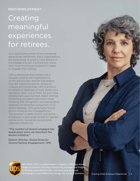#### **POST-EMPLOYMENT**

### **Creating** meaningful experiences for retirees.

As a significant portion of the workforce approaches retirement, many organizations are scrambling to avoid a mass exodus of knowledge and skill. Furthermore, many don't have the formal programs in place to engage their retirees.

UPS understands that retirees are a valuable asset to the organization's continued success, and for that reason, they are treated as alumni. Similar to colleges and universities, UPS maintains an extensive database of their alumni and can easily reach out to them for part-time employment opportunities, talent referrals, mentorship programs and much more. Knowing that recognition and appreciation represent an essential component of an alumni strategy, UPS launched a formal alumni initiative with Engage2Excel. The program enables alumni and active employees to exchange eCards to express appreciation, recognize success and celebrate milestones.

"The number of alumni engaged has quadrupled since we launched the alumni initiative,"

Robert Witcher, Global Director Alumni Retiree Engagement, UPS



UPS (NYSE: UPS) is a global leader in logistics, offering a broad range of solutions including transporting packages and freight; facilitating international trade, and deploying advanced technology to more efficiently manage the world of business.